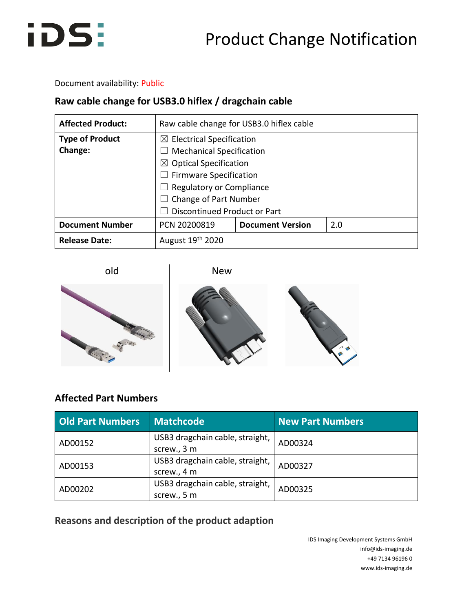

Document availability: Public

### **Raw cable change for USB3.0 hiflex / dragchain cable**

| <b>Affected Product:</b> | Raw cable change for USB3.0 hiflex cable  |                         |     |  |  |
|--------------------------|-------------------------------------------|-------------------------|-----|--|--|
| <b>Type of Product</b>   | $\boxtimes$ Electrical Specification      |                         |     |  |  |
| <b>Change:</b>           | <b>Mechanical Specification</b><br>$\Box$ |                         |     |  |  |
|                          | $\boxtimes$ Optical Specification         |                         |     |  |  |
|                          | $\Box$ Firmware Specification             |                         |     |  |  |
|                          | Regulatory or Compliance                  |                         |     |  |  |
|                          | $\Box$ Change of Part Number              |                         |     |  |  |
|                          | <b>Discontinued Product or Part</b>       |                         |     |  |  |
| <b>Document Number</b>   | PCN 20200819                              | <b>Document Version</b> | 2.0 |  |  |
| <b>Release Date:</b>     | August 19th 2020                          |                         |     |  |  |

old New



## **Affected Part Numbers**

| <b>Old Part Numbers</b>                                   | <b>Matchcode</b>                               | <b>New Part Numbers</b> |
|-----------------------------------------------------------|------------------------------------------------|-------------------------|
| AD00152                                                   | USB3 dragchain cable, straight,<br>screw., 3 m | AD00324                 |
| USB3 dragchain cable, straight,<br>AD00153<br>screw., 4 m |                                                | AD00327                 |
| USB3 dragchain cable, straight,<br>AD00202<br>screw., 5 m |                                                | AD00325                 |

**Reasons and description of the product adaption**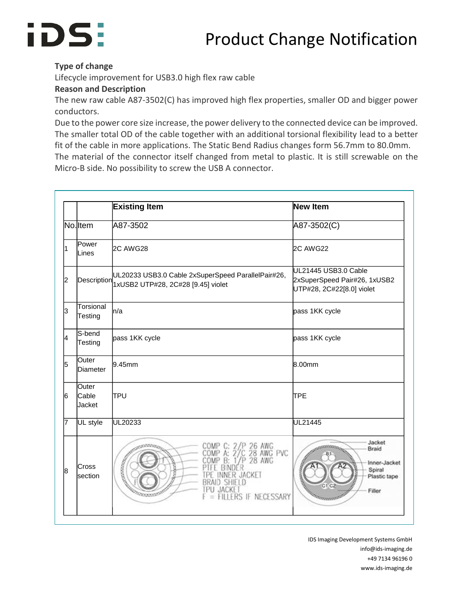# Product Change Notification



#### **Type of change**

Lifecycle improvement for USB3.0 high flex raw cable

#### **Reason and Description**

The new raw cable A87-3502(C) has improved high flex properties, smaller OD and bigger power conductors.

Due to the power core size increase, the power delivery to the connected device can be improved. The smaller total OD of the cable together with an additional torsional flexibility lead to a better fit of the cable in more applications. The Static Bend Radius changes form 56.7mm to 80.0mm.

The material of the connector itself changed from metal to plastic. It is still screwable on the Micro-B side. No possibility to screw the USB A connector.

|    |                          | <b>Existing Item</b>                                                                                                                       | New Item                                                                          |
|----|--------------------------|--------------------------------------------------------------------------------------------------------------------------------------------|-----------------------------------------------------------------------------------|
|    | No.ltem                  | A87-3502                                                                                                                                   | A87-3502(C)                                                                       |
| 1  | Power<br>Lines           | 2C AWG28                                                                                                                                   | <b>2C AWG22</b>                                                                   |
| 2  |                          | UL20233 USB3.0 Cable 2xSuperSpeed ParallelPair#26,<br>Description 1xUSB2 UTP#28, 2C#28 [9.45] violet                                       | UL21445 USB3.0 Cable<br>2xSuperSpeed Pair#26, 1xUSB2<br>UTP#28, 2C#22[8.0] violet |
| 3  | Torsional<br>Testing     | ln/a                                                                                                                                       | pass 1KK cycle                                                                    |
| l4 | S-bend<br>Testing        | pass 1KK cycle                                                                                                                             | pass 1KK cycle                                                                    |
| 5  | Outer<br>Diameter        | 9.45mm                                                                                                                                     | 8.00mm                                                                            |
| l6 | Outer<br>Cable<br>Jacket | TPU                                                                                                                                        | <b>TPE</b>                                                                        |
| 7  | UL style                 | UL20233                                                                                                                                    | UL21445                                                                           |
| l8 | lCross<br>lsection       | P 26 AWG<br>C 28 AWG PVC<br>$1^{\prime}/P$<br><b>28 AWG</b><br>connection<br>R JACKET<br>BRAID SHIETD<br>IPU JACKE<br>FILLERS IF NECESSARY | Jacket<br>Braid<br>Inner-Jacket<br>Spiral<br>Plastic tape<br>$C1$ $C2$<br>Filler  |

IDS Imaging Development Systems GmbH info@ids-imaging.de +49 7134 96196 0 www.ids-imaging.de